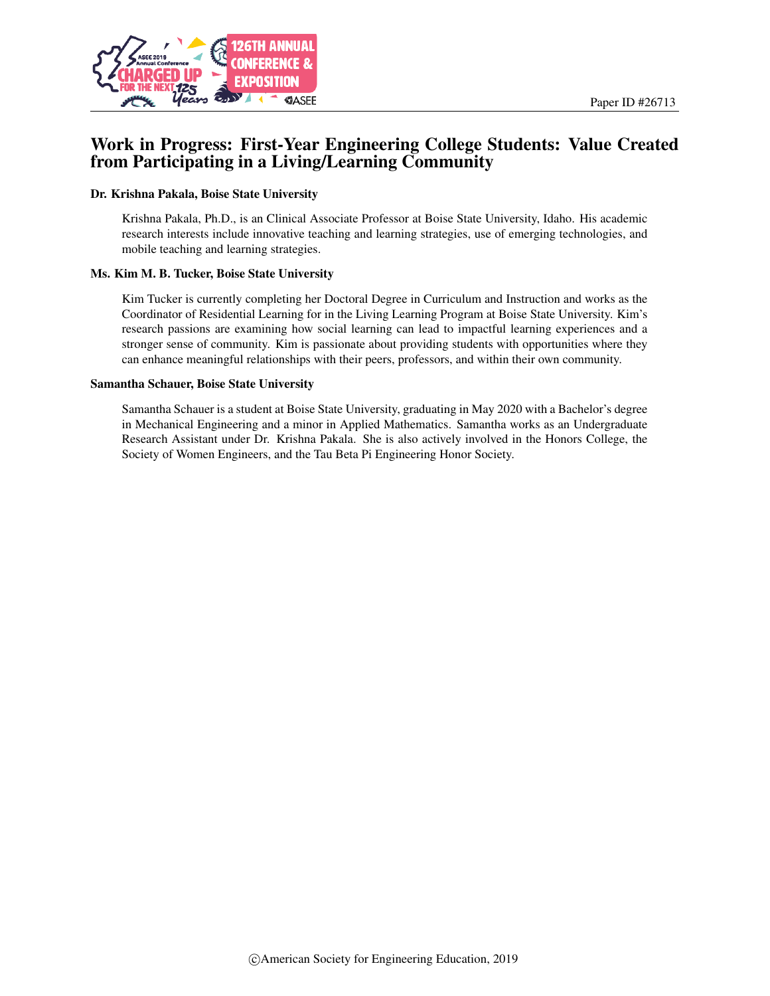

# Work in Progress: First-Year Engineering College Students: Value Created from Participating in a Living/Learning Community

#### Dr. Krishna Pakala, Boise State University

Krishna Pakala, Ph.D., is an Clinical Associate Professor at Boise State University, Idaho. His academic research interests include innovative teaching and learning strategies, use of emerging technologies, and mobile teaching and learning strategies.

#### Ms. Kim M. B. Tucker, Boise State University

Kim Tucker is currently completing her Doctoral Degree in Curriculum and Instruction and works as the Coordinator of Residential Learning for in the Living Learning Program at Boise State University. Kim's research passions are examining how social learning can lead to impactful learning experiences and a stronger sense of community. Kim is passionate about providing students with opportunities where they can enhance meaningful relationships with their peers, professors, and within their own community.

#### Samantha Schauer, Boise State University

Samantha Schauer is a student at Boise State University, graduating in May 2020 with a Bachelor's degree in Mechanical Engineering and a minor in Applied Mathematics. Samantha works as an Undergraduate Research Assistant under Dr. Krishna Pakala. She is also actively involved in the Honors College, the Society of Women Engineers, and the Tau Beta Pi Engineering Honor Society.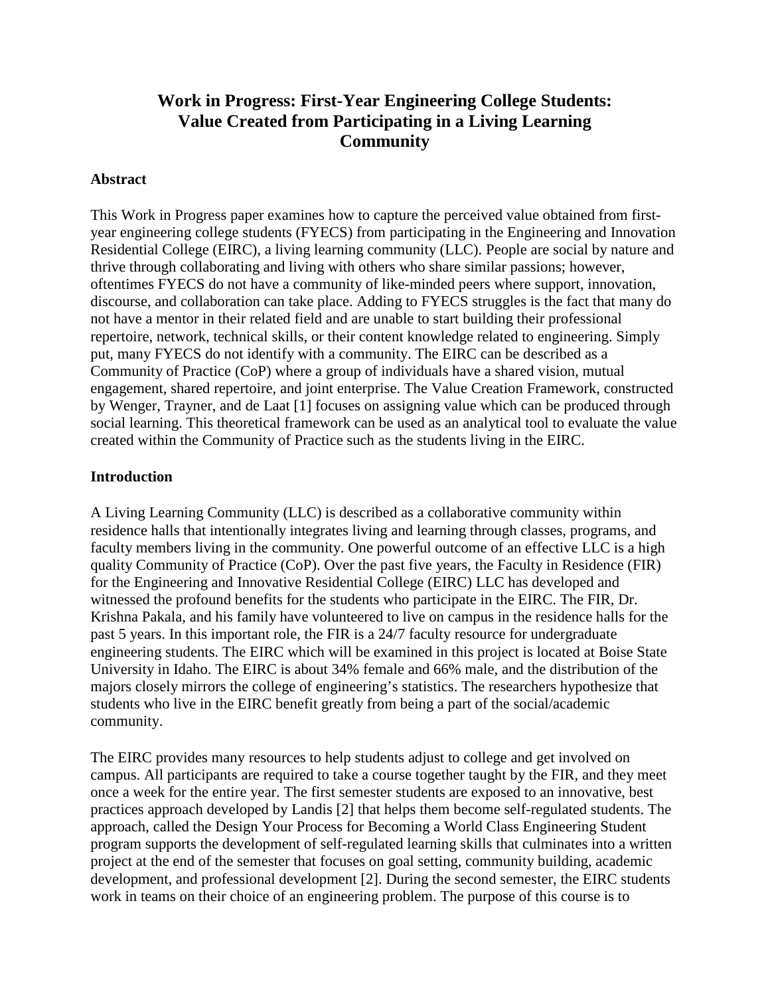# **Work in Progress: First-Year Engineering College Students: Value Created from Participating in a Living Learning Community**

#### **Abstract**

This Work in Progress paper examines how to capture the perceived value obtained from firstyear engineering college students (FYECS) from participating in the Engineering and Innovation Residential College (EIRC), a living learning community (LLC). People are social by nature and thrive through collaborating and living with others who share similar passions; however, oftentimes FYECS do not have a community of like-minded peers where support, innovation, discourse, and collaboration can take place. Adding to FYECS struggles is the fact that many do not have a mentor in their related field and are unable to start building their professional repertoire, network, technical skills, or their content knowledge related to engineering. Simply put, many FYECS do not identify with a community. The EIRC can be described as a Community of Practice (CoP) where a group of individuals have a shared vision, mutual engagement, shared repertoire, and joint enterprise. The Value Creation Framework, constructed by Wenger, Trayner, and de Laat [1] focuses on assigning value which can be produced through social learning. This theoretical framework can be used as an analytical tool to evaluate the value created within the Community of Practice such as the students living in the EIRC.

### **Introduction**

A Living Learning Community (LLC) is described as a collaborative community within residence halls that intentionally integrates living and learning through classes, programs, and faculty members living in the community. One powerful outcome of an effective LLC is a high quality Community of Practice (CoP). Over the past five years, the Faculty in Residence (FIR) for the Engineering and Innovative Residential College (EIRC) LLC has developed and witnessed the profound benefits for the students who participate in the EIRC. The FIR, Dr. Krishna Pakala, and his family have volunteered to live on campus in the residence halls for the past 5 years. In this important role, the FIR is a 24/7 faculty resource for undergraduate engineering students. The EIRC which will be examined in this project is located at Boise State University in Idaho. The EIRC is about 34% female and 66% male, and the distribution of the majors closely mirrors the college of engineering's statistics. The researchers hypothesize that students who live in the EIRC benefit greatly from being a part of the social/academic community.

The EIRC provides many resources to help students adjust to college and get involved on campus. All participants are required to take a course together taught by the FIR, and they meet once a week for the entire year. The first semester students are exposed to an innovative, best practices approach developed by Landis [2] that helps them become self-regulated students. The approach, called the Design Your Process for Becoming a World Class Engineering Student program supports the development of self-regulated learning skills that culminates into a written project at the end of the semester that focuses on goal setting, community building, academic development, and professional development [2]. During the second semester, the EIRC students work in teams on their choice of an engineering problem. The purpose of this course is to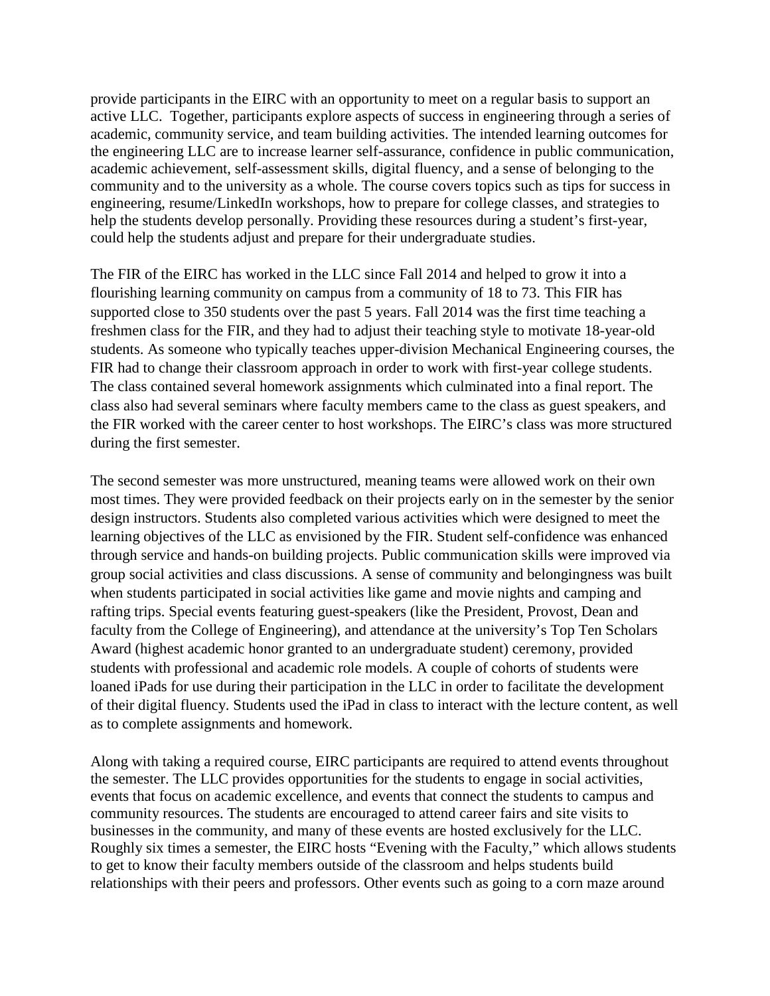provide participants in the EIRC with an opportunity to meet on a regular basis to support an active LLC. Together, participants explore aspects of success in engineering through a series of academic, community service, and team building activities. The intended learning outcomes for the engineering LLC are to increase learner self-assurance, confidence in public communication, academic achievement, self-assessment skills, digital fluency, and a sense of belonging to the community and to the university as a whole. The course covers topics such as tips for success in engineering, resume/LinkedIn workshops, how to prepare for college classes, and strategies to help the students develop personally. Providing these resources during a student's first-year, could help the students adjust and prepare for their undergraduate studies.

The FIR of the EIRC has worked in the LLC since Fall 2014 and helped to grow it into a flourishing learning community on campus from a community of 18 to 73. This FIR has supported close to 350 students over the past 5 years. Fall 2014 was the first time teaching a freshmen class for the FIR, and they had to adjust their teaching style to motivate 18-year-old students. As someone who typically teaches upper-division Mechanical Engineering courses, the FIR had to change their classroom approach in order to work with first-year college students. The class contained several homework assignments which culminated into a final report. The class also had several seminars where faculty members came to the class as guest speakers, and the FIR worked with the career center to host workshops. The EIRC's class was more structured during the first semester.

The second semester was more unstructured, meaning teams were allowed work on their own most times. They were provided feedback on their projects early on in the semester by the senior design instructors. Students also completed various activities which were designed to meet the learning objectives of the LLC as envisioned by the FIR. Student self-confidence was enhanced through service and hands-on building projects. Public communication skills were improved via group social activities and class discussions. A sense of community and belongingness was built when students participated in social activities like game and movie nights and camping and rafting trips. Special events featuring guest-speakers (like the President, Provost, Dean and faculty from the College of Engineering), and attendance at the university's Top Ten Scholars Award (highest academic honor granted to an undergraduate student) ceremony, provided students with professional and academic role models. A couple of cohorts of students were loaned iPads for use during their participation in the LLC in order to facilitate the development of their digital fluency. Students used the iPad in class to interact with the lecture content, as well as to complete assignments and homework.

Along with taking a required course, EIRC participants are required to attend events throughout the semester. The LLC provides opportunities for the students to engage in social activities, events that focus on academic excellence, and events that connect the students to campus and community resources. The students are encouraged to attend career fairs and site visits to businesses in the community, and many of these events are hosted exclusively for the LLC. Roughly six times a semester, the EIRC hosts "Evening with the Faculty," which allows students to get to know their faculty members outside of the classroom and helps students build relationships with their peers and professors. Other events such as going to a corn maze around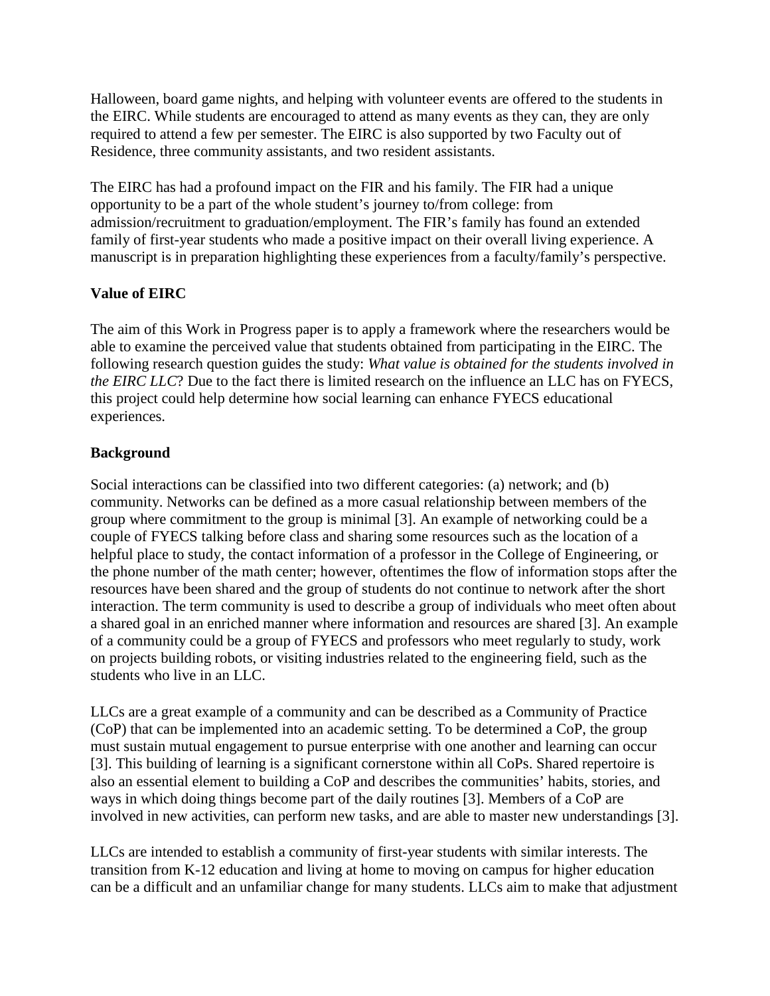Halloween, board game nights, and helping with volunteer events are offered to the students in the EIRC. While students are encouraged to attend as many events as they can, they are only required to attend a few per semester. The EIRC is also supported by two Faculty out of Residence, three community assistants, and two resident assistants.

The EIRC has had a profound impact on the FIR and his family. The FIR had a unique opportunity to be a part of the whole student's journey to/from college: from admission/recruitment to graduation/employment. The FIR's family has found an extended family of first-year students who made a positive impact on their overall living experience. A manuscript is in preparation highlighting these experiences from a faculty/family's perspective.

# **Value of EIRC**

The aim of this Work in Progress paper is to apply a framework where the researchers would be able to examine the perceived value that students obtained from participating in the EIRC. The following research question guides the study: *What value is obtained for the students involved in the EIRC LLC*? Due to the fact there is limited research on the influence an LLC has on FYECS, this project could help determine how social learning can enhance FYECS educational experiences.

# **Background**

Social interactions can be classified into two different categories: (a) network; and (b) community. Networks can be defined as a more casual relationship between members of the group where commitment to the group is minimal [3]. An example of networking could be a couple of FYECS talking before class and sharing some resources such as the location of a helpful place to study, the contact information of a professor in the College of Engineering, or the phone number of the math center; however, oftentimes the flow of information stops after the resources have been shared and the group of students do not continue to network after the short interaction. The term community is used to describe a group of individuals who meet often about a shared goal in an enriched manner where information and resources are shared [3]. An example of a community could be a group of FYECS and professors who meet regularly to study, work on projects building robots, or visiting industries related to the engineering field, such as the students who live in an LLC.

LLCs are a great example of a community and can be described as a Community of Practice (CoP) that can be implemented into an academic setting. To be determined a CoP, the group must sustain mutual engagement to pursue enterprise with one another and learning can occur [3]. This building of learning is a significant cornerstone within all CoPs. Shared repertoire is also an essential element to building a CoP and describes the communities' habits, stories, and ways in which doing things become part of the daily routines [3]. Members of a CoP are involved in new activities, can perform new tasks, and are able to master new understandings [3].

LLCs are intended to establish a community of first-year students with similar interests. The transition from K-12 education and living at home to moving on campus for higher education can be a difficult and an unfamiliar change for many students. LLCs aim to make that adjustment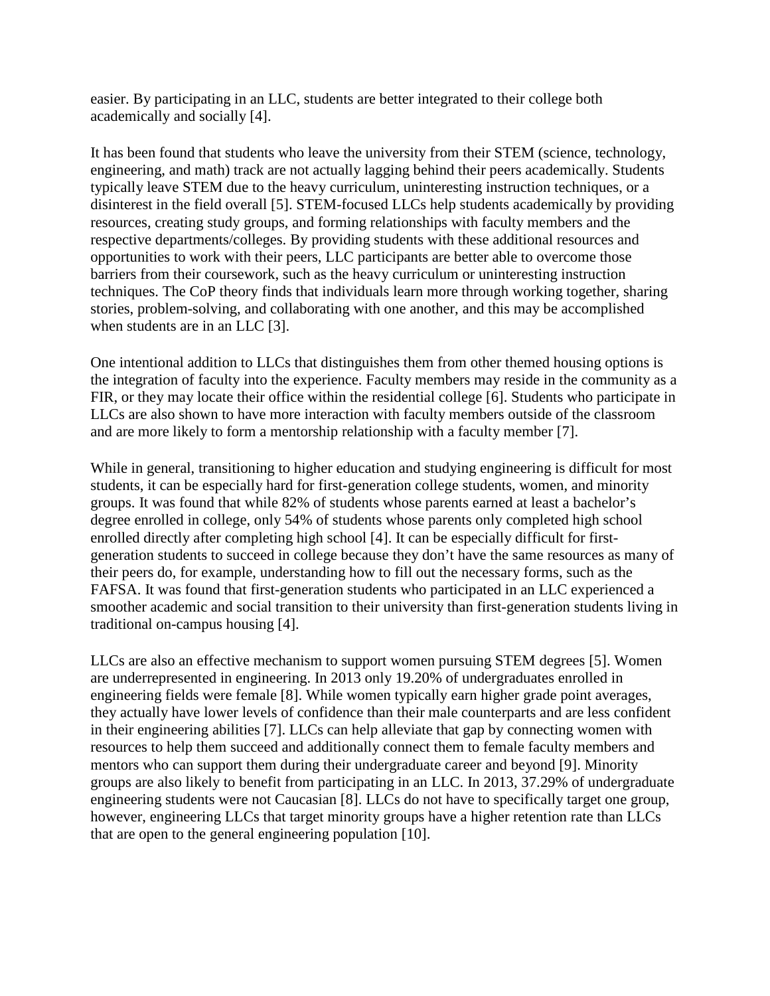easier. By participating in an LLC, students are better integrated to their college both academically and socially [4].

It has been found that students who leave the university from their STEM (science, technology, engineering, and math) track are not actually lagging behind their peers academically. Students typically leave STEM due to the heavy curriculum, uninteresting instruction techniques, or a disinterest in the field overall [5]. STEM-focused LLCs help students academically by providing resources, creating study groups, and forming relationships with faculty members and the respective departments/colleges. By providing students with these additional resources and opportunities to work with their peers, LLC participants are better able to overcome those barriers from their coursework, such as the heavy curriculum or uninteresting instruction techniques. The CoP theory finds that individuals learn more through working together, sharing stories, problem-solving, and collaborating with one another, and this may be accomplished when students are in an LLC [3].

One intentional addition to LLCs that distinguishes them from other themed housing options is the integration of faculty into the experience. Faculty members may reside in the community as a FIR, or they may locate their office within the residential college [6]. Students who participate in LLCs are also shown to have more interaction with faculty members outside of the classroom and are more likely to form a mentorship relationship with a faculty member [7].

While in general, transitioning to higher education and studying engineering is difficult for most students, it can be especially hard for first-generation college students, women, and minority groups. It was found that while 82% of students whose parents earned at least a bachelor's degree enrolled in college, only 54% of students whose parents only completed high school enrolled directly after completing high school [4]. It can be especially difficult for firstgeneration students to succeed in college because they don't have the same resources as many of their peers do, for example, understanding how to fill out the necessary forms, such as the FAFSA. It was found that first-generation students who participated in an LLC experienced a smoother academic and social transition to their university than first-generation students living in traditional on-campus housing [4].

LLCs are also an effective mechanism to support women pursuing STEM degrees [5]. Women are underrepresented in engineering. In 2013 only 19.20% of undergraduates enrolled in engineering fields were female [8]. While women typically earn higher grade point averages, they actually have lower levels of confidence than their male counterparts and are less confident in their engineering abilities [7]. LLCs can help alleviate that gap by connecting women with resources to help them succeed and additionally connect them to female faculty members and mentors who can support them during their undergraduate career and beyond [9]. Minority groups are also likely to benefit from participating in an LLC. In 2013, 37.29% of undergraduate engineering students were not Caucasian [8]. LLCs do not have to specifically target one group, however, engineering LLCs that target minority groups have a higher retention rate than LLCs that are open to the general engineering population [10].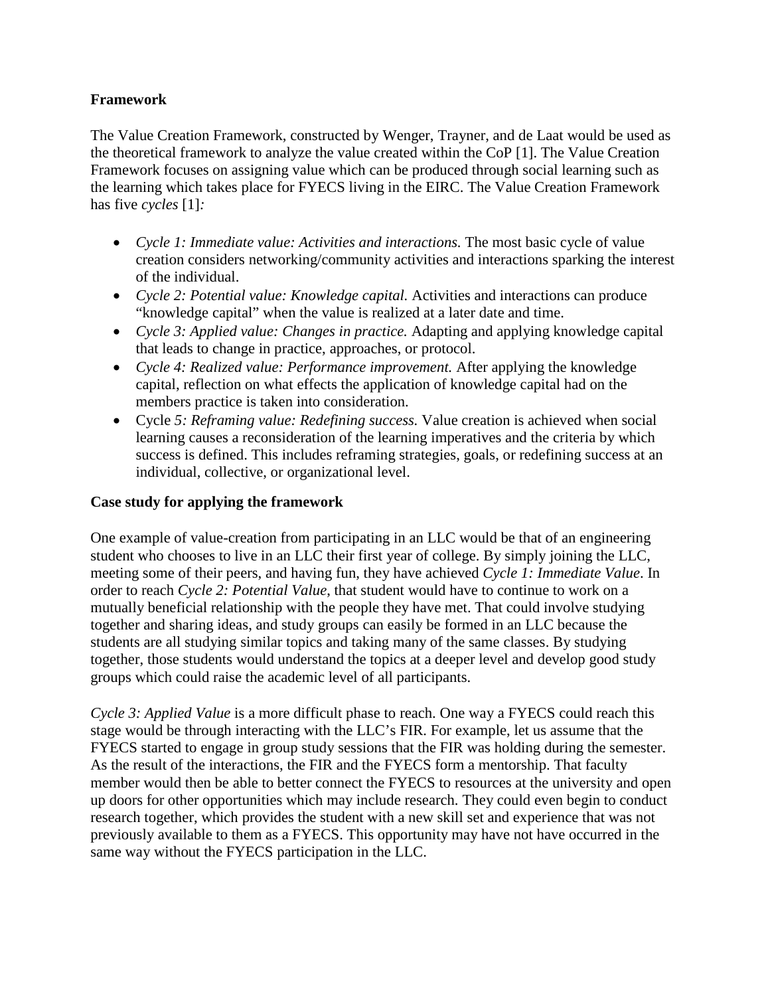# **Framework**

The Value Creation Framework, constructed by Wenger, Trayner, and de Laat would be used as the theoretical framework to analyze the value created within the CoP [1]. The Value Creation Framework focuses on assigning value which can be produced through social learning such as the learning which takes place for FYECS living in the EIRC. The Value Creation Framework has five *cycles* [1]*:*

- *Cycle 1: Immediate value: Activities and interactions.* The most basic cycle of value creation considers networking/community activities and interactions sparking the interest of the individual.
- *Cycle 2: Potential value: Knowledge capital.* Activities and interactions can produce "knowledge capital" when the value is realized at a later date and time.
- *Cycle 3: Applied value: Changes in practice.* Adapting and applying knowledge capital that leads to change in practice, approaches, or protocol.
- *Cycle 4: Realized value: Performance improvement.* After applying the knowledge capital, reflection on what effects the application of knowledge capital had on the members practice is taken into consideration.
- Cycle *5: Reframing value: Redefining success.* Value creation is achieved when social learning causes a reconsideration of the learning imperatives and the criteria by which success is defined. This includes reframing strategies, goals, or redefining success at an individual, collective, or organizational level.

#### **Case study for applying the framework**

One example of value-creation from participating in an LLC would be that of an engineering student who chooses to live in an LLC their first year of college. By simply joining the LLC, meeting some of their peers, and having fun, they have achieved *Cycle 1: Immediate Value*. In order to reach *Cycle 2: Potential Value*, that student would have to continue to work on a mutually beneficial relationship with the people they have met. That could involve studying together and sharing ideas, and study groups can easily be formed in an LLC because the students are all studying similar topics and taking many of the same classes. By studying together, those students would understand the topics at a deeper level and develop good study groups which could raise the academic level of all participants.

*Cycle 3: Applied Value* is a more difficult phase to reach. One way a FYECS could reach this stage would be through interacting with the LLC's FIR. For example, let us assume that the FYECS started to engage in group study sessions that the FIR was holding during the semester. As the result of the interactions, the FIR and the FYECS form a mentorship. That faculty member would then be able to better connect the FYECS to resources at the university and open up doors for other opportunities which may include research. They could even begin to conduct research together, which provides the student with a new skill set and experience that was not previously available to them as a FYECS. This opportunity may have not have occurred in the same way without the FYECS participation in the LLC.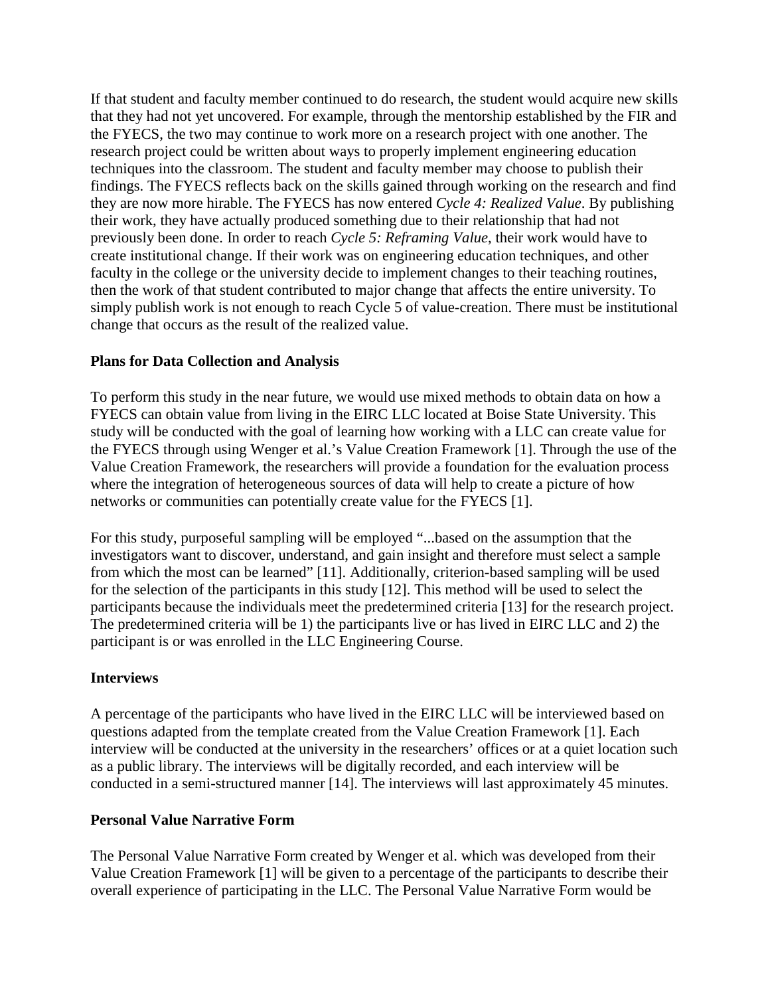If that student and faculty member continued to do research, the student would acquire new skills that they had not yet uncovered. For example, through the mentorship established by the FIR and the FYECS, the two may continue to work more on a research project with one another. The research project could be written about ways to properly implement engineering education techniques into the classroom. The student and faculty member may choose to publish their findings. The FYECS reflects back on the skills gained through working on the research and find they are now more hirable. The FYECS has now entered *Cycle 4: Realized Value*. By publishing their work, they have actually produced something due to their relationship that had not previously been done. In order to reach *Cycle 5: Reframing Value*, their work would have to create institutional change. If their work was on engineering education techniques, and other faculty in the college or the university decide to implement changes to their teaching routines, then the work of that student contributed to major change that affects the entire university. To simply publish work is not enough to reach Cycle 5 of value-creation. There must be institutional change that occurs as the result of the realized value.

### **Plans for Data Collection and Analysis**

To perform this study in the near future, we would use mixed methods to obtain data on how a FYECS can obtain value from living in the EIRC LLC located at Boise State University. This study will be conducted with the goal of learning how working with a LLC can create value for the FYECS through using Wenger et al.'s Value Creation Framework [1]. Through the use of the Value Creation Framework, the researchers will provide a foundation for the evaluation process where the integration of heterogeneous sources of data will help to create a picture of how networks or communities can potentially create value for the FYECS [1].

For this study, purposeful sampling will be employed "...based on the assumption that the investigators want to discover, understand, and gain insight and therefore must select a sample from which the most can be learned" [11]. Additionally, criterion-based sampling will be used for the selection of the participants in this study [12]. This method will be used to select the participants because the individuals meet the predetermined criteria [13] for the research project. The predetermined criteria will be 1) the participants live or has lived in EIRC LLC and 2) the participant is or was enrolled in the LLC Engineering Course.

# **Interviews**

A percentage of the participants who have lived in the EIRC LLC will be interviewed based on questions adapted from the template created from the Value Creation Framework [1]. Each interview will be conducted at the university in the researchers' offices or at a quiet location such as a public library. The interviews will be digitally recorded, and each interview will be conducted in a semi-structured manner [14]. The interviews will last approximately 45 minutes.

#### **Personal Value Narrative Form**

The Personal Value Narrative Form created by Wenger et al. which was developed from their Value Creation Framework [1] will be given to a percentage of the participants to describe their overall experience of participating in the LLC. The Personal Value Narrative Form would be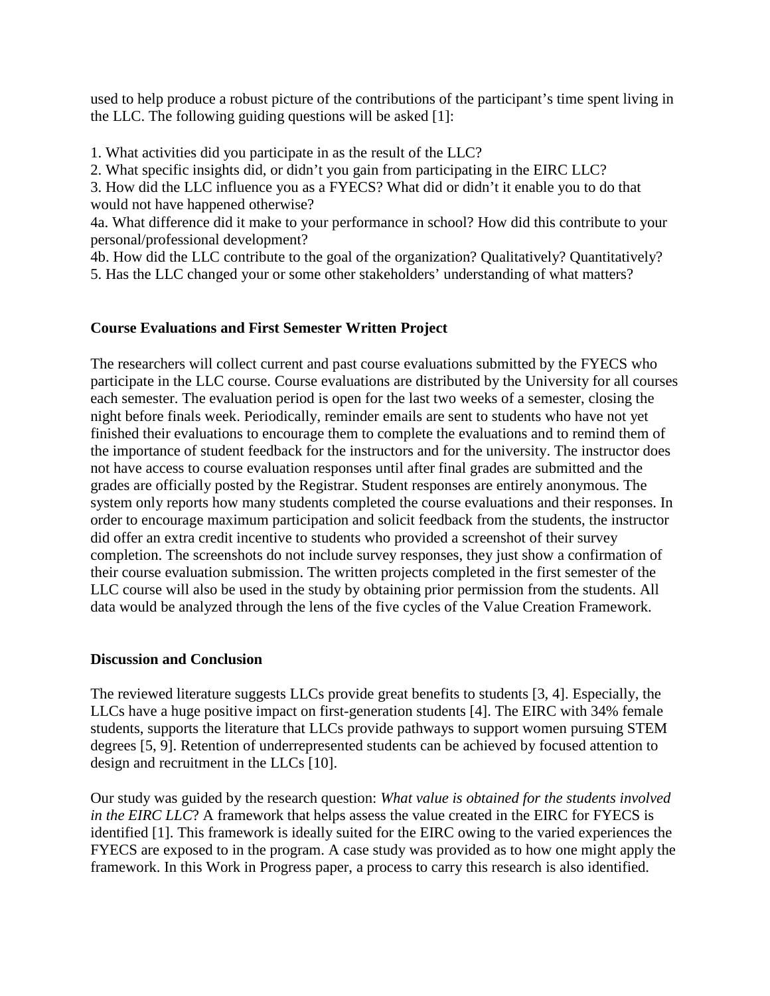used to help produce a robust picture of the contributions of the participant's time spent living in the LLC. The following guiding questions will be asked [1]:

1. What activities did you participate in as the result of the LLC?

2. What specific insights did, or didn't you gain from participating in the EIRC LLC?

3. How did the LLC influence you as a FYECS? What did or didn't it enable you to do that would not have happened otherwise?

4a. What difference did it make to your performance in school? How did this contribute to your personal/professional development?

4b. How did the LLC contribute to the goal of the organization? Qualitatively? Quantitatively? 5. Has the LLC changed your or some other stakeholders' understanding of what matters?

### **Course Evaluations and First Semester Written Project**

The researchers will collect current and past course evaluations submitted by the FYECS who participate in the LLC course. Course evaluations are distributed by the University for all courses each semester. The evaluation period is open for the last two weeks of a semester, closing the night before finals week. Periodically, reminder emails are sent to students who have not yet finished their evaluations to encourage them to complete the evaluations and to remind them of the importance of student feedback for the instructors and for the university. The instructor does not have access to course evaluation responses until after final grades are submitted and the grades are officially posted by the Registrar. Student responses are entirely anonymous. The system only reports how many students completed the course evaluations and their responses. In order to encourage maximum participation and solicit feedback from the students, the instructor did offer an extra credit incentive to students who provided a screenshot of their survey completion. The screenshots do not include survey responses, they just show a confirmation of their course evaluation submission. The written projects completed in the first semester of the LLC course will also be used in the study by obtaining prior permission from the students. All data would be analyzed through the lens of the five cycles of the Value Creation Framework.

#### **Discussion and Conclusion**

The reviewed literature suggests LLCs provide great benefits to students [3, 4]. Especially, the LLCs have a huge positive impact on first-generation students [4]. The EIRC with 34% female students, supports the literature that LLCs provide pathways to support women pursuing STEM degrees [5, 9]. Retention of underrepresented students can be achieved by focused attention to design and recruitment in the LLCs [10].

Our study was guided by the research question: *What value is obtained for the students involved in the EIRC LLC*? A framework that helps assess the value created in the EIRC for FYECS is identified [1]. This framework is ideally suited for the EIRC owing to the varied experiences the FYECS are exposed to in the program. A case study was provided as to how one might apply the framework. In this Work in Progress paper, a process to carry this research is also identified.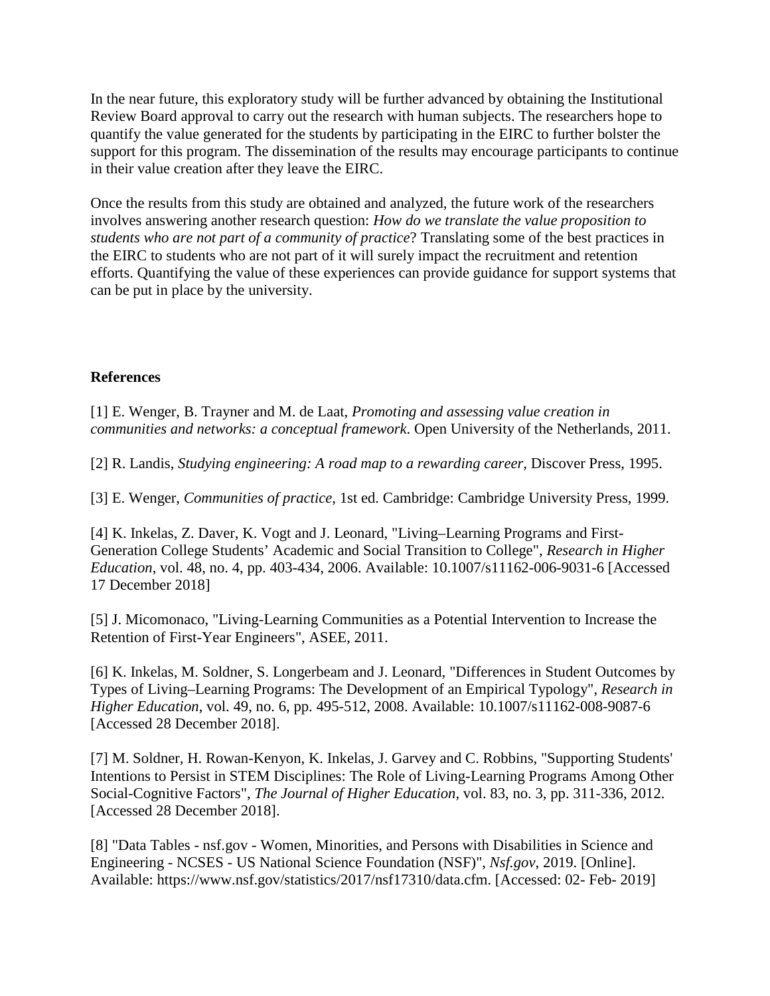In the near future, this exploratory study will be further advanced by obtaining the Institutional Review Board approval to carry out the research with human subjects. The researchers hope to quantify the value generated for the students by participating in the EIRC to further bolster the support for this program. The dissemination of the results may encourage participants to continue in their value creation after they leave the EIRC.

Once the results from this study are obtained and analyzed, the future work of the researchers involves answering another research question: *How do we translate the value proposition to students who are not part of a community of practice*? Translating some of the best practices in the EIRC to students who are not part of it will surely impact the recruitment and retention efforts. Quantifying the value of these experiences can provide guidance for support systems that can be put in place by the university.

# **References**

[1] E. Wenger, B. Trayner and M. de Laat, *Promoting and assessing value creation in communities and networks: a conceptual framework*. Open University of the Netherlands, 2011.

[2] R. Landis, *Studying engineering: A road map to a rewarding career,* Discover Press, 1995.

[3] E. Wenger, *Communities of practice*, 1st ed. Cambridge: Cambridge University Press, 1999.

[4] K. Inkelas, Z. Daver, K. Vogt and J. Leonard, "Living–Learning Programs and First-Generation College Students' Academic and Social Transition to College", *Research in Higher Education*, vol. 48, no. 4, pp. 403-434, 2006. Available: 10.1007/s11162-006-9031-6 [Accessed 17 December 2018]

[5] J. Micomonaco, "Living-Learning Communities as a Potential Intervention to Increase the Retention of First-Year Engineers", ASEE, 2011.

[6] K. Inkelas, M. Soldner, S. Longerbeam and J. Leonard, "Differences in Student Outcomes by Types of Living–Learning Programs: The Development of an Empirical Typology", *Research in Higher Education*, vol. 49, no. 6, pp. 495-512, 2008. Available: 10.1007/s11162-008-9087-6 [Accessed 28 December 2018].

[7] M. Soldner, H. Rowan-Kenyon, K. Inkelas, J. Garvey and C. Robbins, "Supporting Students' Intentions to Persist in STEM Disciplines: The Role of Living-Learning Programs Among Other Social-Cognitive Factors", *The Journal of Higher Education*, vol. 83, no. 3, pp. 311-336, 2012. [Accessed 28 December 2018].

[8] "Data Tables - nsf.gov - Women, Minorities, and Persons with Disabilities in Science and Engineering - NCSES - US National Science Foundation (NSF)", *Nsf.gov*, 2019. [Online]. Available: https://www.nsf.gov/statistics/2017/nsf17310/data.cfm. [Accessed: 02- Feb- 2019]